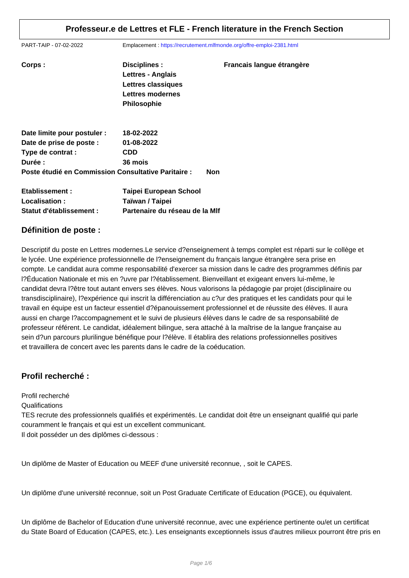PART-TAIP - 07-02-2022 Emplacement : https://recrutement.mlfmonde.org/offre-emploi-2381.html

| Corps:                                              | Disciplines :<br>Lettres - Anglais<br>Lettres classiques<br>Lettres modernes<br><b>Philosophie</b> | Francais langue étrangère |
|-----------------------------------------------------|----------------------------------------------------------------------------------------------------|---------------------------|
| Date limite pour postuler :                         | 18-02-2022                                                                                         |                           |
| Date de prise de poste :                            | 01-08-2022                                                                                         |                           |
| Type de contrat :                                   | <b>CDD</b>                                                                                         |                           |
| Durée :                                             | 36 mois                                                                                            |                           |
| Poste étudié en Commission Consultative Paritaire : |                                                                                                    | Non                       |
| Etablissement:                                      | <b>Taipei European School</b>                                                                      |                           |
| Localisation:                                       | Taïwan / Taipei                                                                                    |                           |
| Statut d'établissement :                            | Partenaire du réseau de la MIf                                                                     |                           |

### **Définition de poste :**

Descriptif du poste en Lettres modernes.Le service d?enseignement à temps complet est réparti sur le collège et le lycée. Une expérience professionnelle de l?enseignement du français langue étrangère sera prise en compte. Le candidat aura comme responsabilité d'exercer sa mission dans le cadre des programmes définis par l?Éducation Nationale et mis en ?uvre par l?établissement. Bienveillant et exigeant envers lui-même, le candidat devra l?être tout autant envers ses élèves. Nous valorisons la pédagogie par projet (disciplinaire ou transdisciplinaire), l?expérience qui inscrit la différenciation au c?ur des pratiques et les candidats pour qui le travail en équipe est un facteur essentiel d?épanouissement professionnel et de réussite des élèves. Il aura aussi en charge l?accompagnement et le suivi de plusieurs élèves dans le cadre de sa responsabilité de professeur référent. Le candidat, idéalement bilingue, sera attaché à la maîtrise de la langue française au sein d?un parcours plurilingue bénéfique pour l?élève. Il établira des relations professionnelles positives et travaillera de concert avec les parents dans le cadre de la coéducation.

## **Profil recherché :**

Profil recherché

#### **Qualifications**

TES recrute des professionnels qualifiés et expérimentés. Le candidat doit être un enseignant qualifié qui parle couramment le français et qui est un excellent communicant. Il doit posséder un des diplômes ci-dessous :

Un diplôme de Master of Education ou MEEF d'une université reconnue, , soit le CAPES.

Un diplôme d'une université reconnue, soit un Post Graduate Certificate of Education (PGCE), ou équivalent.

Un diplôme de Bachelor of Education d'une université reconnue, avec une expérience pertinente ou/et un certificat du State Board of Education (CAPES, etc.). Les enseignants exceptionnels issus d'autres milieux pourront être pris en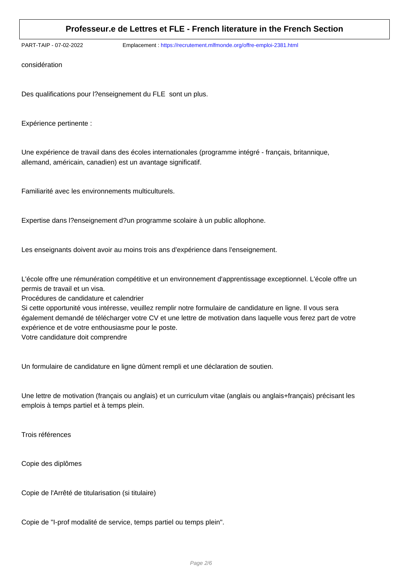PART-TAIP - 07-02-2022 Emplacement : https://recrutement.mlfmonde.org/offre-emploi-2381.html

considération

Des qualifications pour l?enseignement du FLE sont un plus.

Expérience pertinente :

Une expérience de travail dans des écoles internationales (programme intégré - français, britannique, allemand, américain, canadien) est un avantage significatif.

Familiarité avec les environnements multiculturels.

Expertise dans l?enseignement d?un programme scolaire à un public allophone.

Les enseignants doivent avoir au moins trois ans d'expérience dans l'enseignement.

L'école offre une rémunération compétitive et un environnement d'apprentissage exceptionnel. L'école offre un permis de travail et un visa.

Procédures de candidature et calendrier

Si cette opportunité vous intéresse, veuillez remplir notre formulaire de candidature en ligne. Il vous sera également demandé de télécharger votre CV et une lettre de motivation dans laquelle vous ferez part de votre expérience et de votre enthousiasme pour le poste.

Votre candidature doit comprendre

Un formulaire de candidature en ligne dûment rempli et une déclaration de soutien.

Une lettre de motivation (français ou anglais) et un curriculum vitae (anglais ou anglais+français) précisant les emplois à temps partiel et à temps plein.

Trois références

Copie des diplômes

Copie de l'Arrêté de titularisation (si titulaire)

Copie de "I-prof modalité de service, temps partiel ou temps plein".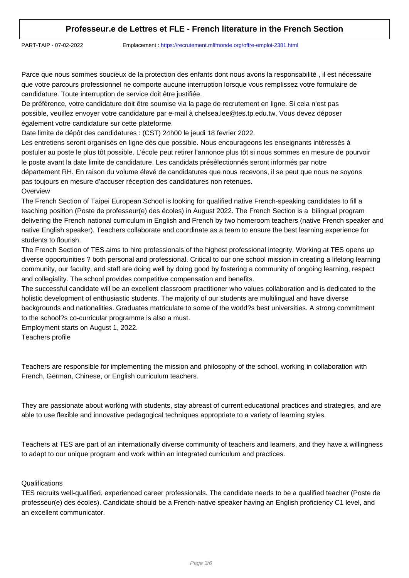PART-TAIP - 07-02-2022 Emplacement : https://recrutement.mlfmonde.org/offre-emploi-2381.html

Parce que nous sommes soucieux de la protection des enfants dont nous avons la responsabilité, il est nécessaire que votre parcours professionnel ne comporte aucune interruption lorsque vous remplissez votre formulaire de candidature. Toute interruption de service doit être justifiée.

De préférence, votre candidature doit être soumise via la page de recrutement en ligne. Si cela n'est pas possible, veuillez envoyer votre candidature par e-mail à chelsea.lee@tes.tp.edu.tw. Vous devez déposer également votre candidature sur cette plateforme.

Date limite de dépôt des candidatures : (CST) 24h00 le jeudi 18 fevrier 2022.

Les entretiens seront organisés en ligne dès que possible. Nous encourageons les enseignants intéressés à postuler au poste le plus tôt possible. L'école peut retirer l'annonce plus tôt si nous sommes en mesure de pourvoir le poste avant la date limite de candidature. Les candidats présélectionnés seront informés par notre département RH. En raison du volume élevé de candidatures que nous recevons, il se peut que nous ne soyons pas toujours en mesure d'accuser réception des candidatures non retenues. **Overview** 

The French Section of Taipei European School is looking for qualified native French-speaking candidates to fill a teaching position (Poste de professeur(e) des écoles) in August 2022. The French Section is a bilingual program delivering the French national curriculum in English and French by two homeroom teachers (native French speaker and native English speaker). Teachers collaborate and coordinate as a team to ensure the best learning experience for students to flourish.

The French Section of TES aims to hire professionals of the highest professional integrity. Working at TES opens up diverse opportunities ? both personal and professional. Critical to our one school mission in creating a lifelong learning community, our faculty, and staff are doing well by doing good by fostering a community of ongoing learning, respect and collegiality. The school provides competitive compensation and benefits.

The successful candidate will be an excellent classroom practitioner who values collaboration and is dedicated to the holistic development of enthusiastic students. The majority of our students are multilingual and have diverse backgrounds and nationalities. Graduates matriculate to some of the world?s best universities. A strong commitment to the school?s co-curricular programme is also a must.

Employment starts on August 1, 2022.

Teachers profile

Teachers are responsible for implementing the mission and philosophy of the school, working in collaboration with French, German, Chinese, or English curriculum teachers.

They are passionate about working with students, stay abreast of current educational practices and strategies, and are able to use flexible and innovative pedagogical techniques appropriate to a variety of learning styles.

Teachers at TES are part of an internationally diverse community of teachers and learners, and they have a willingness to adapt to our unique program and work within an integrated curriculum and practices.

#### **Qualifications**

TES recruits well-qualified, experienced career professionals. The candidate needs to be a qualified teacher (Poste de professeur(e) des écoles). Candidate should be a French-native speaker having an English proficiency C1 level, and an excellent communicator.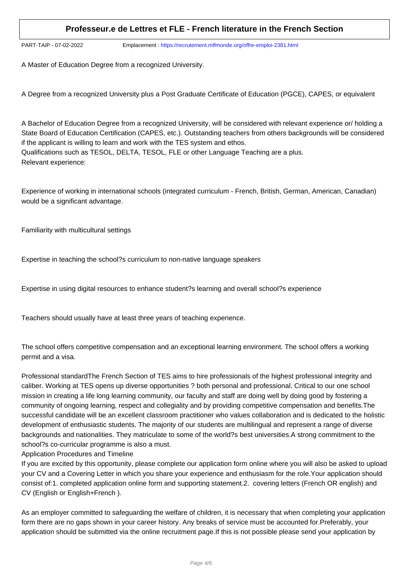PART-TAIP - 07-02-2022 Emplacement : https://recrutement.mlfmonde.org/offre-emploi-2381.html

A Master of Education Degree from a recognized University.

A Degree from a recognized University plus a Post Graduate Certificate of Education (PGCE), CAPES, or equivalent

A Bachelor of Education Degree from a recognized University, will be considered with relevant experience or/ holding a State Board of Education Certification (CAPES, etc.). Outstanding teachers from others backgrounds will be considered if the applicant is willing to learn and work with the TES system and ethos. Qualifications such as TESOL, DELTA, TESOL, FLE or other Language Teaching are a plus. Relevant experience:

Experience of working in international schools (integrated curriculum - French, British, German, American, Canadian) would be a significant advantage.

Familiarity with multicultural settings

Expertise in teaching the school?s curriculum to non-native language speakers

Expertise in using digital resources to enhance student?s learning and overall school?s experience

Teachers should usually have at least three years of teaching experience.

The school offers competitive compensation and an exceptional learning environment. The school offers a working permit and a visa.

Professional standardThe French Section of TES aims to hire professionals of the highest professional integrity and caliber. Working at TES opens up diverse opportunities ? both personal and professional. Critical to our one school mission in creating a life long learning community, our faculty and staff are doing well by doing good by fostering a community of ongoing learning, respect and collegiality and by providing competitive compensation and benefits.The successful candidate will be an excellent classroom practitioner who values collaboration and is dedicated to the holistic development of enthusiastic students. The majority of our students are multilingual and represent a range of diverse backgrounds and nationalities. They matriculate to some of the world?s best universities.A strong commitment to the school?s co-curricular programme is also a must.

#### Application Procedures and Timeline

If you are excited by this opportunity, please complete our application form online where you will also be asked to upload your CV and a Covering Letter in which you share your experience and enthusiasm for the role.Your application should consist of:1. completed application online form and supporting statement.2. covering letters (French OR english) and CV (English or English+French ).

As an employer committed to safeguarding the welfare of children, it is necessary that when completing your application form there are no gaps shown in your career history. Any breaks of service must be accounted for.Preferably, your application should be submitted via the online recruitment page.If this is not possible please send your application by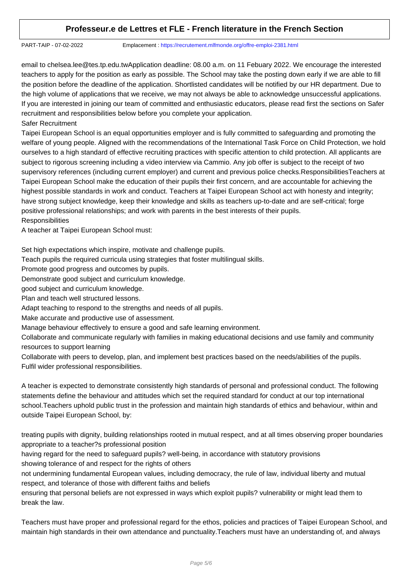PART-TAIP - 07-02-2022 Emplacement : https://recrutement.mlfmonde.org/offre-emploi-2381.html

email to chelsea.lee@tes.tp.edu.twApplication deadline: 08.00 a.m. on 11 Febuary 2022. We encourage the interested teachers to apply for the position as early as possible. The School may take the posting down early if we are able to fill the position before the deadline of the application. Shortlisted candidates will be notified by our HR department. Due to the high volume of applications that we receive, we may not always be able to acknowledge unsuccessful applications. If you are interested in joining our team of committed and enthusiastic educators, please read first the sections on Safer recruitment and responsibilities below before you complete your application.

Safer Recruitment

Taipei European School is an equal opportunities employer and is fully committed to safeguarding and promoting the welfare of young people. Aligned with the recommendations of the International Task Force on Child Protection, we hold ourselves to a high standard of effective recruiting practices with specific attention to child protection. All applicants are subject to rigorous screening including a video interview via Cammio. Any job offer is subject to the receipt of two supervisory references (including current employer) and current and previous police checks.ResponsibilitiesTeachers at Taipei European School make the education of their pupils their first concern, and are accountable for achieving the highest possible standards in work and conduct. Teachers at Taipei European School act with honesty and integrity; have strong subject knowledge, keep their knowledge and skills as teachers up-to-date and are self-critical; forge positive professional relationships; and work with parents in the best interests of their pupils. **Responsibilities** 

A teacher at Taipei European School must:

Set high expectations which inspire, motivate and challenge pupils.

Teach pupils the required curricula using strategies that foster multilingual skills.

Promote good progress and outcomes by pupils.

Demonstrate good subject and curriculum knowledge.

good subject and curriculum knowledge.

Plan and teach well structured lessons.

Adapt teaching to respond to the strengths and needs of all pupils.

Make accurate and productive use of assessment.

Manage behaviour effectively to ensure a good and safe learning environment.

Collaborate and communicate regularly with families in making educational decisions and use family and community resources to support learning

Collaborate with peers to develop, plan, and implement best practices based on the needs/abilities of the pupils. Fulfil wider professional responsibilities.

A teacher is expected to demonstrate consistently high standards of personal and professional conduct. The following statements define the behaviour and attitudes which set the required standard for conduct at our top international school.Teachers uphold public trust in the profession and maintain high standards of ethics and behaviour, within and outside Taipei European School, by:

treating pupils with dignity, building relationships rooted in mutual respect, and at all times observing proper boundaries appropriate to a teacher?s professional position

having regard for the need to safeguard pupils? well-being, in accordance with statutory provisions showing tolerance of and respect for the rights of others

not undermining fundamental European values, including democracy, the rule of law, individual liberty and mutual respect, and tolerance of those with different faiths and beliefs

ensuring that personal beliefs are not expressed in ways which exploit pupils? vulnerability or might lead them to break the law.

Teachers must have proper and professional regard for the ethos, policies and practices of Taipei European School, and maintain high standards in their own attendance and punctuality.Teachers must have an understanding of, and always